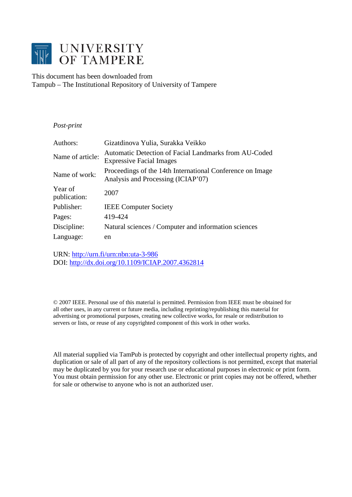

This document has been downloaded from Tampub – The Institutional Repository of University of Tampere

# *Post-print*

| Authors:                | Gizatdinova Yulia, Surakka Veikko                                                               |
|-------------------------|-------------------------------------------------------------------------------------------------|
| Name of article:        | Automatic Detection of Facial Landmarks from AU-Coded<br><b>Expressive Facial Images</b>        |
| Name of work:           | Proceedings of the 14th International Conference on Image<br>Analysis and Processing (ICIAP'07) |
| Year of<br>publication: | 2007                                                                                            |
| Publisher:              | <b>IEEE</b> Computer Society                                                                    |
| Pages:                  | 419-424                                                                                         |
| Discipline:             | Natural sciences / Computer and information sciences                                            |
| Language:               | en                                                                                              |

URN:<http://urn.fi/urn:nbn:uta-3-986> DOI:<http://dx.doi.org/10.1109/ICIAP.2007.4362814>

© 2007 IEEE. Personal use of this material is permitted. Permission from IEEE must be obtained for all other uses, in any current or future media, including reprinting/republishing this material for advertising or promotional purposes, creating new collective works, for resale or redistribution to servers or lists, or reuse of any copyrighted component of this work in other works.

All material supplied via TamPub is protected by copyright and other intellectual property rights, and duplication or sale of all part of any of the repository collections is not permitted, except that material may be duplicated by you for your research use or educational purposes in electronic or print form. You must obtain permission for any other use. Electronic or print copies may not be offered, whether for sale or otherwise to anyone who is not an authorized user.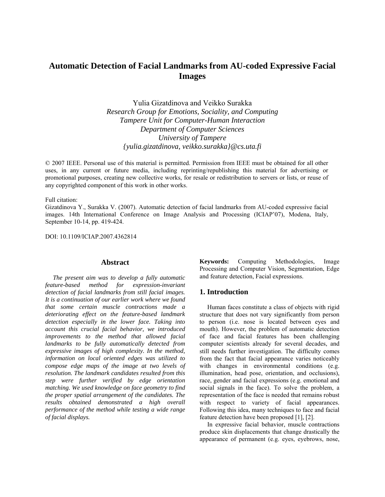# **Automatic Detection of Facial Landmarks from AU-coded Expressive Facial Images**

Yulia Gizatdinova and Veikko Surakka *Research Group for Emotions, Sociality, and Computing Tampere Unit for Computer-Human Interaction Department of Computer Sciences University of Tampere {yulia.gizatdinova, veikko.surakka}@cs.uta.fi* 

© 2007 IEEE. Personal use of this material is permitted. Permission from IEEE must be obtained for all other uses, in any current or future media, including reprinting/republishing this material for advertising or promotional purposes, creating new collective works, for resale or redistribution to servers or lists, or reuse of any copyrighted component of this work in other works.

Full citation:

Gizatdinova Y., Surakka V. (2007). Automatic detection of facial landmarks from AU-coded expressive facial images. 14th International Conference on Image Analysis and Processing (ICIAP'07), Modena, Italy, September 10-14, pp. 419-424.

DOI: 10.1109/ICIAP.2007.4362814

#### **Abstract**

*The present aim was to develop a fully automatic feature-based method for expression-invariant detection of facial landmarks from still facial images. It is a continuation of our earlier work where we found that some certain muscle contractions made a deteriorating effect on the feature-based landmark detection especially in the lower face. Taking into account this crucial facial behavior, we introduced improvements to the method that allowed facial landmarks to be fully automatically detected from expressive images of high complexity. In the method, information on local oriented edges was utilized to compose edge maps of the image at two levels of resolution. The landmark candidates resulted from this step were further verified by edge orientation matching. We used knowledge on face geometry to find the proper spatial arrangement of the candidates. The results obtained demonstrated a high overall performance of the method while testing a wide range of facial displays.* 

**Keywords:** Computing Methodologies, Image Processing and Computer Vision, Segmentation, Edge and feature detection, Facial expressions.

#### **1. Introduction**

Human faces constitute a class of objects with rigid structure that does not vary significantly from person to person (i.e. nose is located between eyes and mouth). However, the problem of automatic detection of face and facial features has been challenging computer scientists already for several decades, and still needs further investigation. The difficulty comes from the fact that facial appearance varies noticeably with changes in environmental conditions (e.g. illumination, head pose, orientation, and occlusions), race, gender and facial expressions (e.g. emotional and social signals in the face). To solve the problem, a representation of the face is needed that remains robust with respect to variety of facial appearances. Following this idea, many techniques to face and facial feature detection have been proposed [1], [2].

In expressive facial behavior, muscle contractions produce skin displacements that change drastically the appearance of permanent (e.g. eyes, eyebrows, nose,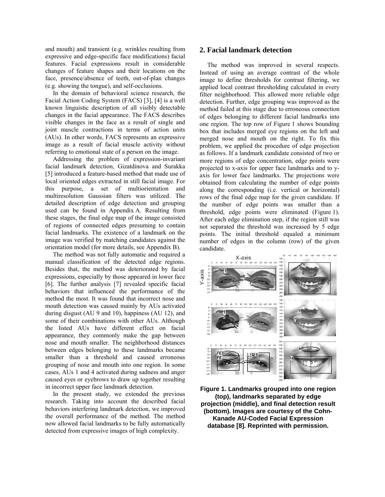and mouth) and transient (e.g. wrinkles resulting from expressive and edge-specific face modifications) facial features. Facial expressions result in considerable changes of feature shapes and their locations on the face, presence/absence of teeth, out-of-plan changes (e.g. showing the tongue), and self-occlusions.

In the domain of behavioral science research, the Facial Action Coding System (FACS) [3], [4] is a well known linguistic description of all visibly detectable changes in the facial appearance. The FACS describes visible changes in the face as a result of single and joint muscle contractions in terms of action units (AUs). In other words, FACS represents an expressive image as a result of facial muscle activity without referring to emotional state of a person on the image.

Addressing the problem of expression-invariant facial landmark detection, Gizatdinova and Surakka [5] introduced a feature-based method that made use of local oriented edges extracted in still facial image. For this purpose, a set of multiorientation and multiresolution Gaussian filters was utilized. The detailed description of edge detection and grouping used can be found in Appendix A. Resulting from these stages, the final edge map of the image consisted of regions of connected edges presuming to contain facial landmarks. The existence of a landmark on the image was verified by matching candidates against the orientation model (for more details, see Appendix B).

The method was not fully automatic and required a manual classification of the detected edge regions. Besides that, the method was deteriorated by facial expressions, especially by those appeared in lower face [6]. The further analysis [7] revealed specific facial behaviors that influenced the performance of the method the most. It was found that incorrect nose and mouth detection was caused mainly by AUs activated during disgust (AU 9 and 10), happiness (AU 12), and some of their combinations with other AUs. Although the listed AUs have different effect on facial appearance, they commonly make the gap between nose and mouth smaller. The neighborhood distances between edges belonging to these landmarks became smaller than a threshold and caused erroneous grouping of nose and mouth into one region. In some cases, AUs 1 and 4 activated during sadness and anger caused eyes or eyebrows to draw up together resulting in incorrect upper face landmark detection.

In the present study, we extended the previous research. Taking into account the described facial behaviors interfering landmark detection, we improved the overall performance of the method. The method now allowed facial landmarks to be fully automatically detected from expressive images of high complexity.

#### **2. Facial landmark detection**

The method was improved in several respects. Instead of using an average contrast of the whole image to define thresholds for contrast filtering, we applied local contrast thresholding calculated in every filter neighborhood. This allowed more reliable edge detection. Further, edge grouping was improved as the method failed at this stage due to erroneous connection of edges belonging to different facial landmarks into one region. The top row of Figure 1 shows bounding box that includes merged eye regions on the left and merged nose and mouth on the right. To fix this problem, we applied the procedure of edge projection as follows. If a landmark candidate consisted of two or more regions of edge concentration, edge points were projected to x-axis for upper face landmarks and to yaxis for lower face landmarks. The projections were obtained from calculating the number of edge points along the corresponding (i.e. vertical or horizontal) rows of the final edge map for the given candidate. If the number of edge points was smaller than a threshold, edge points were eliminated (Figure 1). After each edge elimination step, if the region still was not separated the threshold was increased by 5 edge points. The initial threshold equaled a minimum number of edges in the column (row) of the given candidate.



**Figure 1. Landmarks grouped into one region (top), landmarks separated by edge projection (middle), and final detection result (bottom). Images are courtesy of the Cohn-Kanade AU-Coded Facial Expression database [8]. Reprinted with permission.**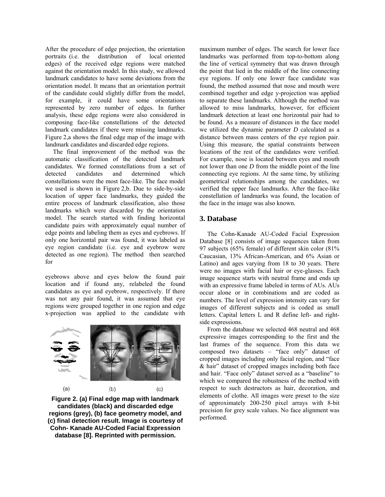After the procedure of edge projection, the orientation portraits (i.e. the distribution of local oriented edges) of the received edge regions were matched against the orientation model. In this study, we allowed landmark candidates to have some deviations from the orientation model. It means that an orientation portrait of the candidate could slightly differ from the model, for example, it could have some orientations represented by zero number of edges. In further analysis, these edge regions were also considered in composing face-like constellations of the detected landmark candidates if there were missing landmarks. Figure 2,a shows the final edge map of the image with landmark candidates and discarded edge regions.

The final improvement of the method was the automatic classification of the detected landmark candidates. We formed constellations from a set of detected candidates and determined which constellations were the most face-like. The face model we used is shown in Figure 2,b. Due to side-by-side location of upper face landmarks, they guided the entire process of landmark classification, also those landmarks which were discarded by the orientation model. The search started with finding horizontal candidate pairs with approximately equal number of edge points and labeling them as eyes and eyebrows. If only one horizontal pair was found, it was labeled as eye region candidate (i.e. eye and eyebrow were detected as one region). The method then searched for

eyebrows above and eyes below the found pair location and if found any, relabeled the found candidates as eye and eyebrow, respectively. If there was not any pair found, it was assumed that eye regions were grouped together in one region and edge x-projection was applied to the candidate with



**Figure 2. (a) Final edge map with landmark candidates (black) and discarded edge regions (grey), (b) face geometry model, and (c) final detection result. Image is courtesy of Cohn- Kanade AU-Coded Facial Expression database [8]. Reprinted with permission.** 

maximum number of edges. The search for lower face landmarks was performed from top-to-bottom along the line of vertical symmetry that was drawn through the point that lied in the middle of the line connecting eye regions. If only one lower face candidate was found, the method assumed that nose and mouth were combined together and edge y-projection was applied to separate these landmarks. Although the method was allowed to miss landmarks, however, for efficient landmark detection at least one horizontal pair had to be found. As a measure of distances in the face model we utilized the dynamic parameter *D* calculated as a distance between mass centers of the eye region pair. Using this measure, the spatial constraints between locations of the rest of the candidates were verified. For example, nose is located between eyes and mouth not lower than one *D* from the middle point of the line connecting eye regions. At the same time, by utilizing geometrical relationships among the candidates, we verified the upper face landmarks. After the face-like constellation of landmarks was found, the location of the face in the image was also known.

#### **3. Database**

The Cohn-Kanade AU-Coded Facial Expression Database [8] consists of image sequences taken from 97 subjects (65% female) of different skin color (81% Caucasian, 13% African-American, and 6% Asian or Latino) and ages varying from 18 to 30 years. There were no images with facial hair or eye-glasses. Each image sequence starts with neutral frame and ends up with an expressive frame labeled in terms of AUs. AUs occur alone or in combinations and are coded as numbers. The level of expression intensity can vary for images of different subjects and is coded as small letters. Capital letters L and R define left- and rightside expressions.

From the database we selected 468 neutral and 468 expressive images corresponding to the first and the last frames of the sequence. From this data we composed two datasets – "face only" dataset of cropped images including only facial region, and "face & hair" dataset of cropped images including both face and hair. "Face only" dataset served as a "baseline" to which we compared the robustness of the method with respect to such destructors as hair, decoration, and elements of clothe. All images were preset to the size of approximately 200-250 pixel arrays with 8-bit precision for grey scale values. No face alignment was performed.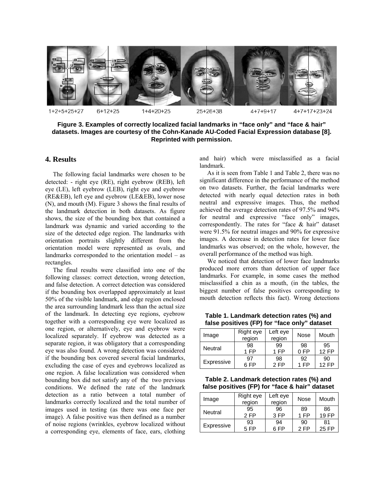

**Figure 3. Examples of correctly localized facial landmarks in "face only" and "face & hair" datasets. Images are courtesy of the Cohn-Kanade AU-Coded Facial Expression database [8]. Reprinted with permission.**

#### **4. Results**

The following facial landmarks were chosen to be detected: - right eye (RE), right eyebrow (REB), left eye (LE), left eyebrow (LEB), right eye and eyebrow (RE&EB), left eye and eyebrow (LE&EB), lower nose (N), and mouth (M). Figure 3 shows the final results of the landmark detection in both datasets. As figure shows, the size of the bounding box that contained a landmark was dynamic and varied according to the size of the detected edge region. The landmarks with orientation portraits slightly different from the orientation model were represented as ovals, and landmarks corresponded to the orientation model – as rectangles.

The final results were classified into one of the following classes: correct detection, wrong detection, and false detection. A correct detection was considered if the bounding box overlapped approximately at least 50% of the visible landmark, and edge region enclosed the area surrounding landmark less than the actual size of the landmark. In detecting eye regions, eyebrow together with a corresponding eye were localized as one region, or alternatively, eye and eyebrow were localized separately. If eyebrow was detected as a separate region, it was obligatory that a corresponding eye was also found. A wrong detection was considered if the bounding box covered several facial landmarks, excluding the case of eyes and eyebrows localized as one region. A false localization was considered when bounding box did not satisfy any of the two previous conditions. We defined the rate of the landmark detection as a ratio between a total number of landmarks correctly localized and the total number of images used in testing (as there was one face per image). A false positive was then defined as a number of noise regions (wrinkles, eyebrow localized without a corresponding eye, elements of face, ears, clothing

and hair) which were misclassified as a facial landmark.

As it is seen from Table 1 and Table 2, there was no significant difference in the performance of the method on two datasets. Further, the facial landmarks were detected with nearly equal detection rates in both neutral and expressive images. Thus, the method achieved the average detection rates of 97.5% and 94% for neutral and expressive "face only" images, correspondently. The rates for "face & hair" dataset were 91.5% for neutral images and 90% for expressive images. A decrease in detection rates for lower face landmarks was observed; on the whole, however, the overall performance of the method was high.

We noticed that detection of lower face landmarks produced more errors than detection of upper face landmarks. For example, in some cases the method misclassified a chin as a mouth, (in the tables, the biggest number of false positives corresponding to mouth detection reflects this fact). Wrong detections

**Table 1. Landmark detection rates (%) and false positives (FP) for "face only" dataset**

| Image          | Right eye<br>region | Left eye<br>region | Nose | Mouth    |
|----------------|---------------------|--------------------|------|----------|
| <b>Neutral</b> | 98                  | 99                 | 98   | 95       |
|                | 1 FP                | 1 FP               | 0 F  | $12$ FP  |
| Expressive     | 97                  | 98                 | 92   | 90       |
|                | <b>FP</b>           | 2 FP               | 1 FP | $12 F$ P |

**Table 2. Landmark detection rates (%) and false positives (FP) for "face & hair" dataset**

| Image          | Right eye<br>region | Left eye<br>region | Nose | Mouth |
|----------------|---------------------|--------------------|------|-------|
| <b>Neutral</b> | 95                  | 96                 | 89   | 86    |
|                | 2 FP                | 3 F <sub>P</sub>   | 1 FP | 19 FP |
| Expressive     | 93                  | 94                 | 90   | 81    |
|                | 5 FP                | 6 FP               | 2 FP | 25 FP |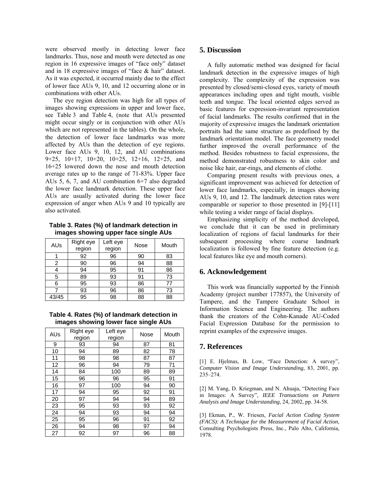were observed mostly in detecting lower face landmarks. Thus, nose and mouth were detected as one region in 16 expressive images of "face only" dataset and in 18 expressive images of "face & hair" dataset. As it was expected, it occurred mainly due to the effect of lower face AUs 9, 10, and 12 occurring alone or in combinations with other AUs.

The eye region detection was high for all types of images showing expressions in upper and lower face, see Table 3 and Table 4, (note that AUs presented might occur singly or in conjunction with other AUs which are not represented in the tables). On the whole, the detection of lower face landmarks was more affected by AUs than the detection of eye regions. Lower face AUs 9, 10, 12, and AU combinations 9+25, 10+17, 10+20, 10+25, 12+16, 12+25, and 16+25 lowered down the nose and mouth detection average rates up to the range of 71-83%. Upper face AUs 5, 6, 7, and AU combination 6+7 also degraded the lower face landmark detection. These upper face AUs are usually activated during the lower face expression of anger when AUs 9 and 10 typically are also activated.

**Table 3. Rates (%) of landmark detection in images showing upper face single AUs**

| AUs   | Right eye<br>region | Left eye<br>region | Nose | Mouth |
|-------|---------------------|--------------------|------|-------|
|       | 92                  | 96                 | 90   | 83    |
| 2     | 90                  | 96                 | 94   | 88    |
|       | 94                  | 95                 | 91   | 86    |
| 5     | 89                  | 93                 | 91   | 73    |
| 6     | 95                  | 93                 | 86   | 77    |
|       | 93                  | 96                 | 86   | 73    |
| 43/45 | 95                  | 98                 | 88   | 88    |

**Table 4. Rates (%) of landmark detection in images showing lower face single AUs**

| AUs | Right eye<br>region | Left eye<br>region | Nose | Mouth |
|-----|---------------------|--------------------|------|-------|
| 9   | 93                  | 94                 | 87   | 81    |
| 10  | 94                  | 89                 | 82   | 78    |
| 11  | 98                  | 98                 | 87   | 87    |
| 12  | 96                  | 94                 | 79   | 71    |
| 14  | 84                  | 100                | 89   | 89    |
| 15  | 96                  | 96                 | 95   | 91    |
| 16  | 97                  | 100                | 94   | 90    |
| 17  | 94                  | 95                 | 92   | 91    |
| 20  | 97                  | 94                 | 94   | 89    |
| 23  | 95                  | 93                 | 93   | 92    |
| 24  | 94                  | 93                 | 94   | 94    |
| 25  | 95                  | 96                 | 91   | 92    |
| 26  | 94                  | 98                 | 97   | 94    |
| 27  | 92                  | 97                 | 96   | 88    |

#### **5. Discussion**

A fully automatic method was designed for facial landmark detection in the expressive images of high complexity. The complexity of the expression was presented by closed/semi-closed eyes, variety of mouth appearances including open and tight mouth, visible teeth and tongue. The local oriented edges served as basic features for expression-invariant representation of facial landmarks. The results confirmed that in the majority of expressive images the landmark orientation portraits had the same structure as predefined by the landmark orientation model. The face geometry model further improved the overall performance of the method. Besides robustness to facial expressions, the method demonstrated robustness to skin color and noise like hair, ear-rings, and elements of clothe.

Comparing present results with previous ones, a significant improvement was achieved for detection of lower face landmarks, especially, in images showing AUs 9, 10, and 12. The landmark detection rates were comparable or superior to those presented in [9]-[11] while testing a wider range of facial displays.

Emphasizing simplicity of the method developed, we conclude that it can be used in preliminary localization of regions of facial landmarks for their subsequent processing where coarse landmark localization is followed by fine feature detection (e.g. local features like eye and mouth corners).

#### **6. Acknowledgement**

This work was financially supported by the Finnish Academy (project number 177857), the University of Tampere, and the Tampere Graduate School in Information Science and Engineering. The authors thank the creators of the Cohn-Kanade AU-Coded Facial Expression Database for the permission to reprint examples of the expressive images.

## **7. References**

[1] E. Hjelmas, B. Low, "Face Detection: A survey", *Computer Vision and Image Understanding*, 83, 2001, pp. 235–274.

[2] M. Yang, D. Kriegman, and N. Ahuaja, "Detecting Face in Images: A Survey", *IEEE Transactions on Pattern Analysis and Image Understanding*, 24, 2002, pp. 34-58.

[3] Ekman, P., W. Friesen, *Facial Action Coding System (FACS): A Technique for the Measurement of Facial Action*, Consulting Psychologists Press, Inc., Palo Alto, California, 1978.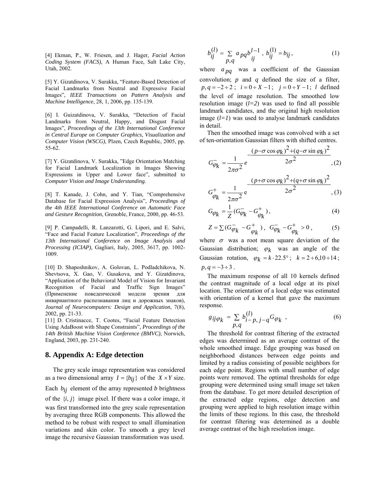[4] Ekman, P., W. Friesen, and J. Hager, *Facial Action Coding System (FACS)*, A Human Face, Salt Lake City, Utah, 2002.

[5] Y. Gizatdinova, V. Surakka, "Feature-Based Detection of Facial Landmarks from Neutral and Expressive Facial Images", *IEEE Transactions on Pattern Analysis and Machine Intelligence*, 28, 1, 2006, pp. 135-139.

[6] I. Guizatdinova, V. Surakka, "Detection of Facial Landmarks from Neutral, Happy, and Disgust Facial Images", *Proceedings of the 13th International Conference in Central Europe on Computer Graphics, Visualization and Computer Vision (WSCG)*, Plzen, Czech Republic, 2005, pp. 55-62.

[7] Y. Gizatdinova, V. Surakka, "Edge Orientation Matching for Facial Landmark Localization in Images Showing Expressions in Upper and Lower face", submitted to *Computer Vision and Image Understanding.*

[8] T. Kanade, J. Cohn, and Y. Tian, "Comprehensive Database for Facial Expression Analysis", *Proceedings of the 4th IEEE International Conference on Automatic Face and Gesture Recognition*, Grenoble, France, 2000, pp. 46-53.

[9] P. Campadelli, R. Lanzarotti, G. Lipori, and E. Salvi, "Face and Facial Feature Localization", *Proceedings of the 13th International Conference on Image Analysis and Processing (ICIAP)*, Gagliari, Italy, 2005, 3617, pp. 1002- 1009.

[10] D. Shaposhnikov, A. Golovan, L. Podladchikova, N. Shevtsova, X. Gao, V. Gusakova, and Y. Gizatdinova, "Application of the Behavioral Model of Vision for Invariant Recognition of Facial and Traffic Sign Images" (Применение поведенческой модели зрения для инвариантного распознавания лиц и дорожных знаков), *Journal of Neurocomputers: Design and Application*, 7(8), 2002, pp. 21-33.

[11] D. Cristinacce, T. Cootes, "Facial Feature Detection Using AdaBoost with Shape Constraints", *Proceedings of the 14th British Machine Vision Conference (BMVC)*, Norwich, England, 2003, pp. 231-240.

#### **8. Appendix A: Edge detection**

The grey scale image representation was considered as a two dimensional array  $I = \{b_{ij}\}\$  of the  $X \times Y$  size. Each  $b_{ij}$  element of the array represented *b* brightness of the  $\{i, j\}$  image pixel. If there was a color image, it was first transformed into the grey scale representation by averaging three RGB components. This allowed the method to be robust with respect to small illumination variations and skin color. To smooth a grey level image the recursive Gaussian transformation was used.

$$
b_{ij}^{(l)} = \sum_{p,q} a_{pq} b_{ij}^{l-1}, b_{ij}^{(l)} = b_{ij},
$$
 (1)

where  $a_{pq}$  was a coefficient of the Gaussian convolution; *p* and *q* defined the size of a filter,  $p, q = -2 \div 2$ ;  $i = 0 \div X - 1$ ;  $j = 0 \div Y - 1$ ; *l* defined the level of image resolution. The smoothed low resolution image  $(l=2)$  was used to find all possible landmark candidates, and the original high resolution image  $(l=1)$  was used to analyse landmark candidates in detail.

Then the smoothed image was convolved with a set of ten-orientation Gaussian filters with shifted centres.

$$
G_{\varphi_k}^- = \frac{1}{2\pi\sigma^2} e^{-\frac{(p-\sigma\cos\varphi_k)^2 + (q-\sigma\sin\varphi_k)^2}{2\sigma^2}},
$$
(2)  

$$
-\frac{(p+\sigma\cos\varphi_k)^2 + (q+\sigma\sin\varphi_k)^2}{2}
$$

$$
G_{\varphi_k}^+ = \frac{1}{2\pi\sigma^2} e^{-\frac{(x-\mu_k)^2}{2\sigma^2}},
$$

$$
G_{\varphi_k} = \frac{1}{Z} (G_{\varphi_k} - G_{\varphi_k}^+), \tag{4}
$$

$$
Z = \Sigma (G^{-}_{\varphi_k} - G^{+}_{\varphi_k}) \, , \, G^{-}_{\varphi_k} - G^{+}_{\varphi_k} > 0 \, , \qquad \quad (5)
$$

where  $\sigma$  was a root mean square deviation of the Gaussian distribution;  $\varphi_k$  was an angle of the Gaussian rotation,  $\varphi_k = k \cdot 22.5^\circ$ ;  $k = 2 \div 6.10 \div 14$ ;  $p, q = -3 \div 3$ .

The maximum response of all 10 kernels defined the contrast magnitude of a local edge at its pixel location. The orientation of a local edge was estimated with orientation of a kernel that gave the maximum response.

$$
g_{ij\varphi_k} = \sum_{p,q} b_{i-p,\,j-q}^{(l)} G_{\varphi_k} \,, \tag{6}
$$

The threshold for contrast filtering of the extracted edges was determined as an average contrast of the whole smoothed image. Edge grouping was based on neighborhood distances between edge points and limited by a radius consisting of possible neighbors for each edge point. Regions with small number of edge points were removed. The optimal thresholds for edge grouping were determined using small image set taken from the database. To get more detailed description of the extracted edge regions, edge detection and grouping were applied to high resolution image within the limits of these regions. In this case, the threshold for contrast filtering was determined as a double average contrast of the high resolution image.